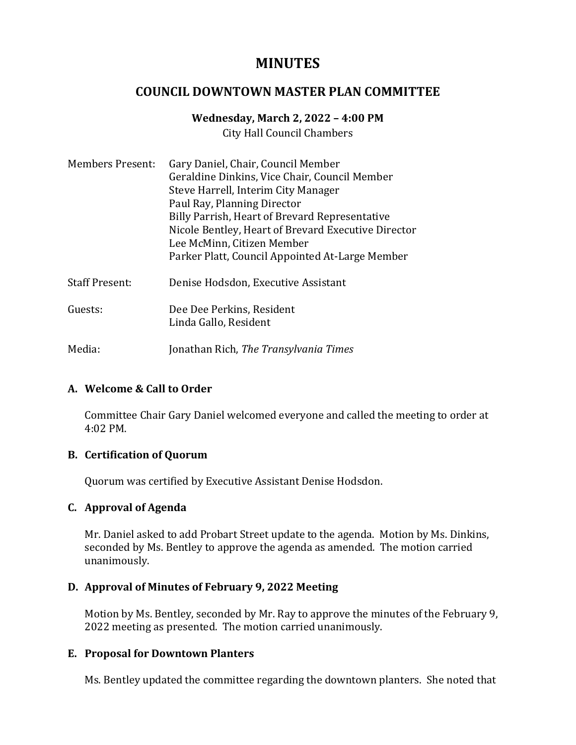# **MINUTES**

# **COUNCIL DOWNTOWN MASTER PLAN COMMITTEE**

## **Wednesday, March 2, 2022 – 4:00 PM**

City Hall Council Chambers

| <b>Members Present:</b> | Gary Daniel, Chair, Council Member<br>Geraldine Dinkins, Vice Chair, Council Member<br>Steve Harrell, Interim City Manager<br>Paul Ray, Planning Director<br>Billy Parrish, Heart of Brevard Representative<br>Nicole Bentley, Heart of Brevard Executive Director<br>Lee McMinn, Citizen Member<br>Parker Platt, Council Appointed At-Large Member |
|-------------------------|-----------------------------------------------------------------------------------------------------------------------------------------------------------------------------------------------------------------------------------------------------------------------------------------------------------------------------------------------------|
| <b>Staff Present:</b>   | Denise Hodsdon, Executive Assistant                                                                                                                                                                                                                                                                                                                 |
| Guests:                 | Dee Dee Perkins, Resident<br>Linda Gallo, Resident                                                                                                                                                                                                                                                                                                  |
| Media:                  | Jonathan Rich, The Transylvania Times                                                                                                                                                                                                                                                                                                               |

## **A. Welcome & Call to Order**

Committee Chair Gary Daniel welcomed everyone and called the meeting to order at 4:02 PM.

## **B. Certification of Quorum**

Quorum was certified by Executive Assistant Denise Hodsdon.

## **C. Approval of Agenda**

Mr. Daniel asked to add Probart Street update to the agenda. Motion by Ms. Dinkins, seconded by Ms. Bentley to approve the agenda as amended. The motion carried unanimously.

## **D. Approval of Minutes of February 9, 2022 Meeting**

Motion by Ms. Bentley, seconded by Mr. Ray to approve the minutes of the February 9, 2022 meeting as presented. The motion carried unanimously.

## **E. Proposal for Downtown Planters**

Ms. Bentley updated the committee regarding the downtown planters. She noted that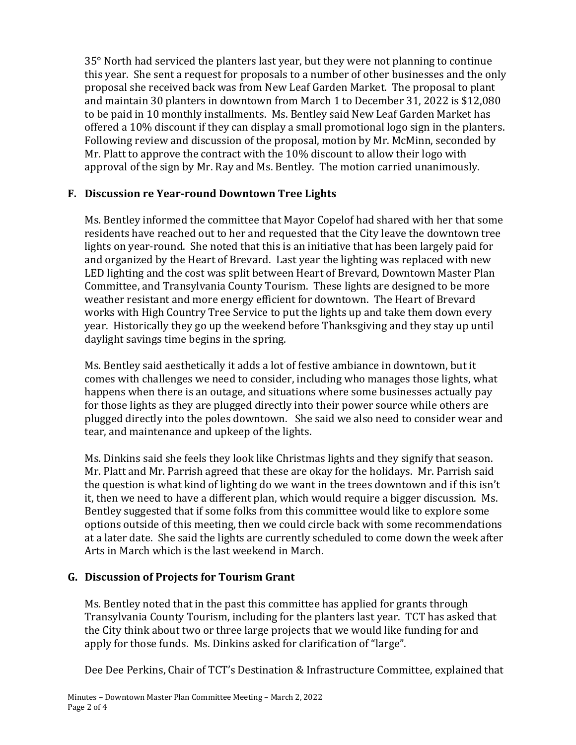35° North had serviced the planters last year, but they were not planning to continue this year. She sent a request for proposals to a number of other businesses and the only proposal she received back was from New Leaf Garden Market. The proposal to plant and maintain 30 planters in downtown from March 1 to December 31, 2022 is \$12,080 to be paid in 10 monthly installments. Ms. Bentley said New Leaf Garden Market has offered a 10% discount if they can display a small promotional logo sign in the planters. Following review and discussion of the proposal, motion by Mr. McMinn, seconded by Mr. Platt to approve the contract with the 10% discount to allow their logo with approval of the sign by Mr. Ray and Ms. Bentley. The motion carried unanimously.

# **F. Discussion re Year-round Downtown Tree Lights**

Ms. Bentley informed the committee that Mayor Copelof had shared with her that some residents have reached out to her and requested that the City leave the downtown tree lights on year-round. She noted that this is an initiative that has been largely paid for and organized by the Heart of Brevard. Last year the lighting was replaced with new LED lighting and the cost was split between Heart of Brevard, Downtown Master Plan Committee, and Transylvania County Tourism. These lights are designed to be more weather resistant and more energy efficient for downtown. The Heart of Brevard works with High Country Tree Service to put the lights up and take them down every year. Historically they go up the weekend before Thanksgiving and they stay up until daylight savings time begins in the spring.

Ms. Bentley said aesthetically it adds a lot of festive ambiance in downtown, but it comes with challenges we need to consider, including who manages those lights, what happens when there is an outage, and situations where some businesses actually pay for those lights as they are plugged directly into their power source while others are plugged directly into the poles downtown. She said we also need to consider wear and tear, and maintenance and upkeep of the lights.

Ms. Dinkins said she feels they look like Christmas lights and they signify that season. Mr. Platt and Mr. Parrish agreed that these are okay for the holidays. Mr. Parrish said the question is what kind of lighting do we want in the trees downtown and if this isn't it, then we need to have a different plan, which would require a bigger discussion. Ms. Bentley suggested that if some folks from this committee would like to explore some options outside of this meeting, then we could circle back with some recommendations at a later date. She said the lights are currently scheduled to come down the week after Arts in March which is the last weekend in March.

# **G. Discussion of Projects for Tourism Grant**

Ms. Bentley noted that in the past this committee has applied for grants through Transylvania County Tourism, including for the planters last year. TCT has asked that the City think about two or three large projects that we would like funding for and apply for those funds. Ms. Dinkins asked for clarification of "large".

Dee Dee Perkins, Chair of TCT's Destination & Infrastructure Committee, explained that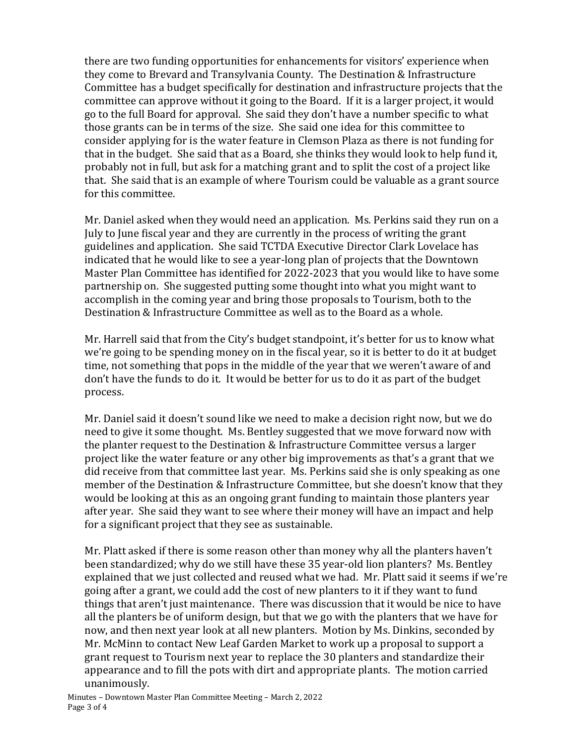there are two funding opportunities for enhancements for visitors' experience when they come to Brevard and Transylvania County. The Destination & Infrastructure Committee has a budget specifically for destination and infrastructure projects that the committee can approve without it going to the Board. If it is a larger project, it would go to the full Board for approval. She said they don't have a number specific to what those grants can be in terms of the size. She said one idea for this committee to consider applying for is the water feature in Clemson Plaza as there is not funding for that in the budget. She said that as a Board, she thinks they would look to help fund it, probably not in full, but ask for a matching grant and to split the cost of a project like that. She said that is an example of where Tourism could be valuable as a grant source for this committee.

Mr. Daniel asked when they would need an application. Ms. Perkins said they run on a July to June fiscal year and they are currently in the process of writing the grant guidelines and application. She said TCTDA Executive Director Clark Lovelace has indicated that he would like to see a year-long plan of projects that the Downtown Master Plan Committee has identified for 2022-2023 that you would like to have some partnership on. She suggested putting some thought into what you might want to accomplish in the coming year and bring those proposals to Tourism, both to the Destination & Infrastructure Committee as well as to the Board as a whole.

Mr. Harrell said that from the City's budget standpoint, it's better for us to know what we're going to be spending money on in the fiscal year, so it is better to do it at budget time, not something that pops in the middle of the year that we weren't aware of and don't have the funds to do it. It would be better for us to do it as part of the budget process.

Mr. Daniel said it doesn't sound like we need to make a decision right now, but we do need to give it some thought. Ms. Bentley suggested that we move forward now with the planter request to the Destination & Infrastructure Committee versus a larger project like the water feature or any other big improvements as that's a grant that we did receive from that committee last year. Ms. Perkins said she is only speaking as one member of the Destination & Infrastructure Committee, but she doesn't know that they would be looking at this as an ongoing grant funding to maintain those planters year after year. She said they want to see where their money will have an impact and help for a significant project that they see as sustainable.

Mr. Platt asked if there is some reason other than money why all the planters haven't been standardized; why do we still have these 35 year-old lion planters? Ms. Bentley explained that we just collected and reused what we had. Mr. Platt said it seems if we're going after a grant, we could add the cost of new planters to it if they want to fund things that aren't just maintenance. There was discussion that it would be nice to have all the planters be of uniform design, but that we go with the planters that we have for now, and then next year look at all new planters. Motion by Ms. Dinkins, seconded by Mr. McMinn to contact New Leaf Garden Market to work up a proposal to support a grant request to Tourism next year to replace the 30 planters and standardize their appearance and to fill the pots with dirt and appropriate plants. The motion carried unanimously.